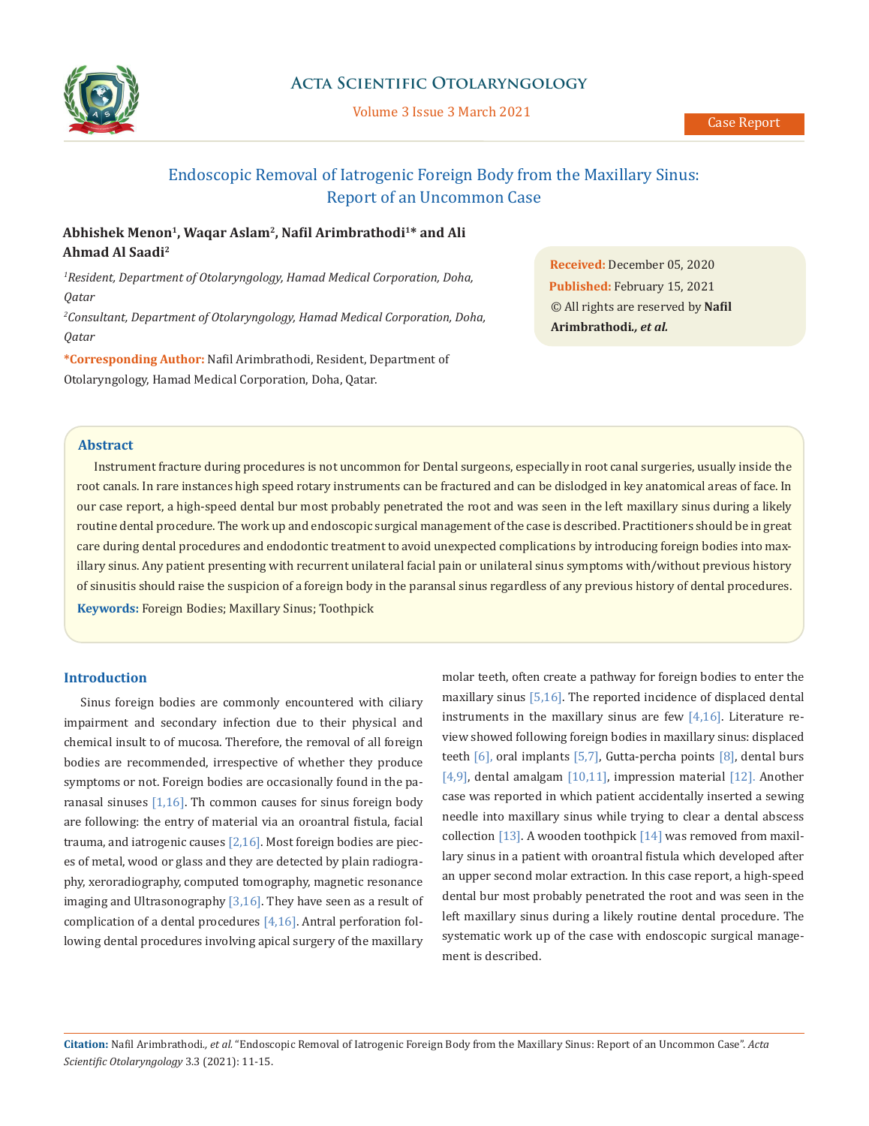

# **Acta Scientific Otolaryngology**

Volume 3 Issue 3 March 2021

# Endoscopic Removal of Iatrogenic Foreign Body from the Maxillary Sinus: Report of an Uncommon Case

# **Abhishek Menon1, Waqar Aslam2, Nafil Arimbrathodi<sup>1</sup>\* and Ali Ahmad Al Saadi<sup>2</sup>**

*1 Resident, Department of Otolaryngology, Hamad Medical Corporation, Doha, Qatar*

*2 Consultant, Department of Otolaryngology, Hamad Medical Corporation, Doha, Qatar*

**\*Corresponding Author:** Nafil Arimbrathodi, Resident, Department of Otolaryngology, Hamad Medical Corporation, Doha, Qatar.

**Received:** December 05, 2020 **Published:** February 15, 2021 © All rights are reserved by **Nafil Arimbrathodi***., et al.*

# **Abstract**

Instrument fracture during procedures is not uncommon for Dental surgeons, especially in root canal surgeries, usually inside the root canals. In rare instances high speed rotary instruments can be fractured and can be dislodged in key anatomical areas of face. In our case report, a high-speed dental bur most probably penetrated the root and was seen in the left maxillary sinus during a likely routine dental procedure. The work up and endoscopic surgical management of the case is described. Practitioners should be in great care during dental procedures and endodontic treatment to avoid unexpected complications by introducing foreign bodies into maxillary sinus. Any patient presenting with recurrent unilateral facial pain or unilateral sinus symptoms with/without previous history of sinusitis should raise the suspicion of a foreign body in the paransal sinus regardless of any previous history of dental procedures. **Keywords:** Foreign Bodies; Maxillary Sinus; Toothpick

## **Introduction**

Sinus foreign bodies are commonly encountered with ciliary impairment and secondary infection due to their physical and chemical insult to of mucosa. Therefore, the removal of all foreign bodies are recommended, irrespective of whether they produce symptoms or not. Foreign bodies are occasionally found in the paranasal sinuses  $[1,16]$ . Th common causes for sinus foreign body are following: the entry of material via an oroantral fistula, facial trauma, and iatrogenic causes  $[2,16]$ . Most foreign bodies are pieces of metal, wood or glass and they are detected by plain radiography, xeroradiography, computed tomography, magnetic resonance imaging and Ultrasonography  $[3,16]$ . They have seen as a result of complication of a dental procedures [4,16]. Antral perforation following dental procedures involving apical surgery of the maxillary molar teeth, often create a pathway for foreign bodies to enter the maxillary sinus [5,16]. The reported incidence of displaced dental instruments in the maxillary sinus are few  $[4,16]$ . Literature review showed following foreign bodies in maxillary sinus: displaced teeth [6], oral implants [5,7], Gutta-percha points [8], dental burs [4,9], dental amalgam [10,11], impression material [12]. Another case was reported in which patient accidentally inserted a sewing needle into maxillary sinus while trying to clear a dental abscess collection [13]. A wooden toothpick [14] was removed from maxillary sinus in a patient with oroantral fistula which developed after an upper second molar extraction. In this case report, a high-speed dental bur most probably penetrated the root and was seen in the left maxillary sinus during a likely routine dental procedure. The systematic work up of the case with endoscopic surgical management is described.

**Citation:** Nafil Arimbrathodi*., et al.* "Endoscopic Removal of Iatrogenic Foreign Body from the Maxillary Sinus: Report of an Uncommon Case". *Acta Scientific Otolaryngology* 3.3 (2021): 11-15.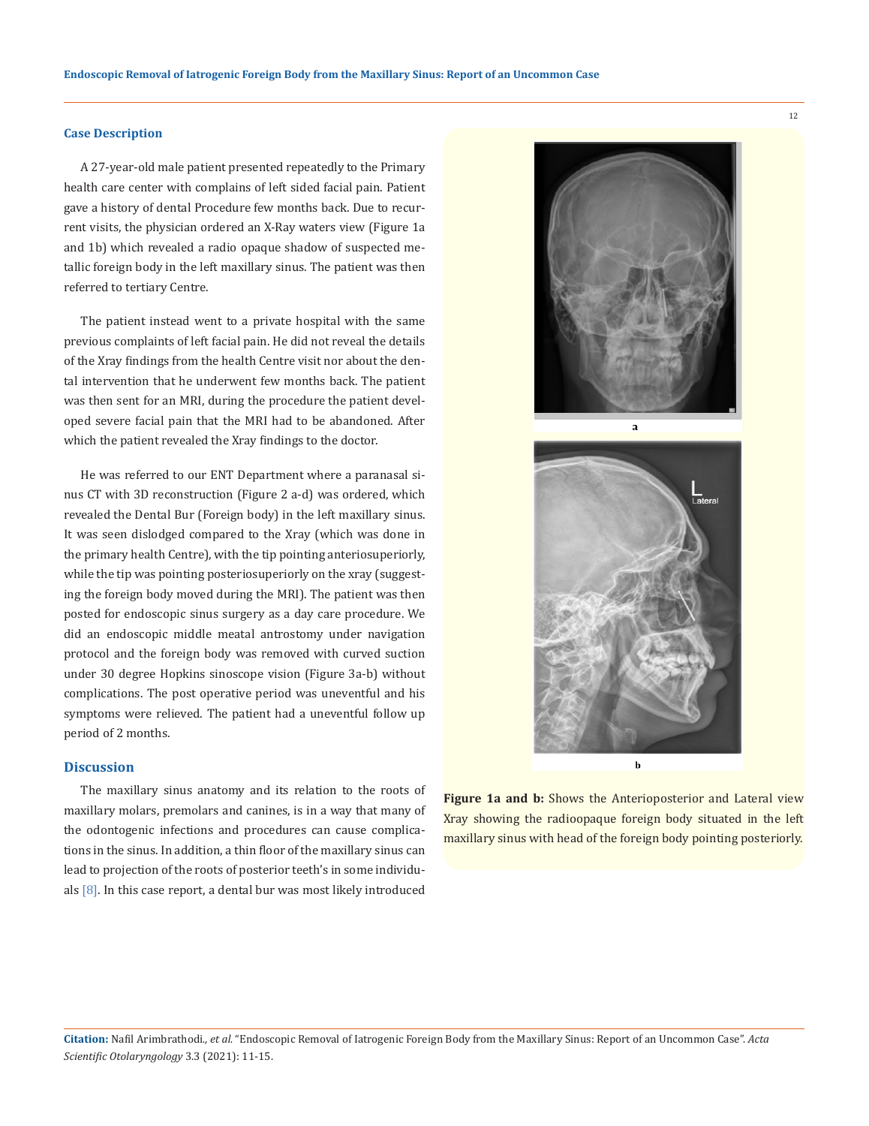#### **Case Description**

A 27-year-old male patient presented repeatedly to the Primary health care center with complains of left sided facial pain. Patient gave a history of dental Procedure few months back. Due to recurrent visits, the physician ordered an X-Ray waters view (Figure 1a and 1b) which revealed a radio opaque shadow of suspected metallic foreign body in the left maxillary sinus. The patient was then referred to tertiary Centre.

The patient instead went to a private hospital with the same previous complaints of left facial pain. He did not reveal the details of the Xray findings from the health Centre visit nor about the dental intervention that he underwent few months back. The patient was then sent for an MRI, during the procedure the patient developed severe facial pain that the MRI had to be abandoned. After which the patient revealed the Xray findings to the doctor.

He was referred to our ENT Department where a paranasal sinus CT with 3D reconstruction (Figure 2 a-d) was ordered, which revealed the Dental Bur (Foreign body) in the left maxillary sinus. It was seen dislodged compared to the Xray (which was done in the primary health Centre), with the tip pointing anteriosuperiorly, while the tip was pointing posteriosuperiorly on the xray (suggesting the foreign body moved during the MRI). The patient was then posted for endoscopic sinus surgery as a day care procedure. We did an endoscopic middle meatal antrostomy under navigation protocol and the foreign body was removed with curved suction under 30 degree Hopkins sinoscope vision (Figure 3a-b) without complications. The post operative period was uneventful and his symptoms were relieved. The patient had a uneventful follow up period of 2 months.

## **Discussion**

The maxillary sinus anatomy and its relation to the roots of maxillary molars, premolars and canines, is in a way that many of the odontogenic infections and procedures can cause complications in the sinus. In addition, a thin floor of the maxillary sinus can lead to projection of the roots of posterior teeth's in some individuals  $[8]$ . In this case report, a dental bur was most likely introduced



Xray showing the radioopaque foreign body situated in the left maxillary sinus with head of the foreign body pointing posteriorly.

12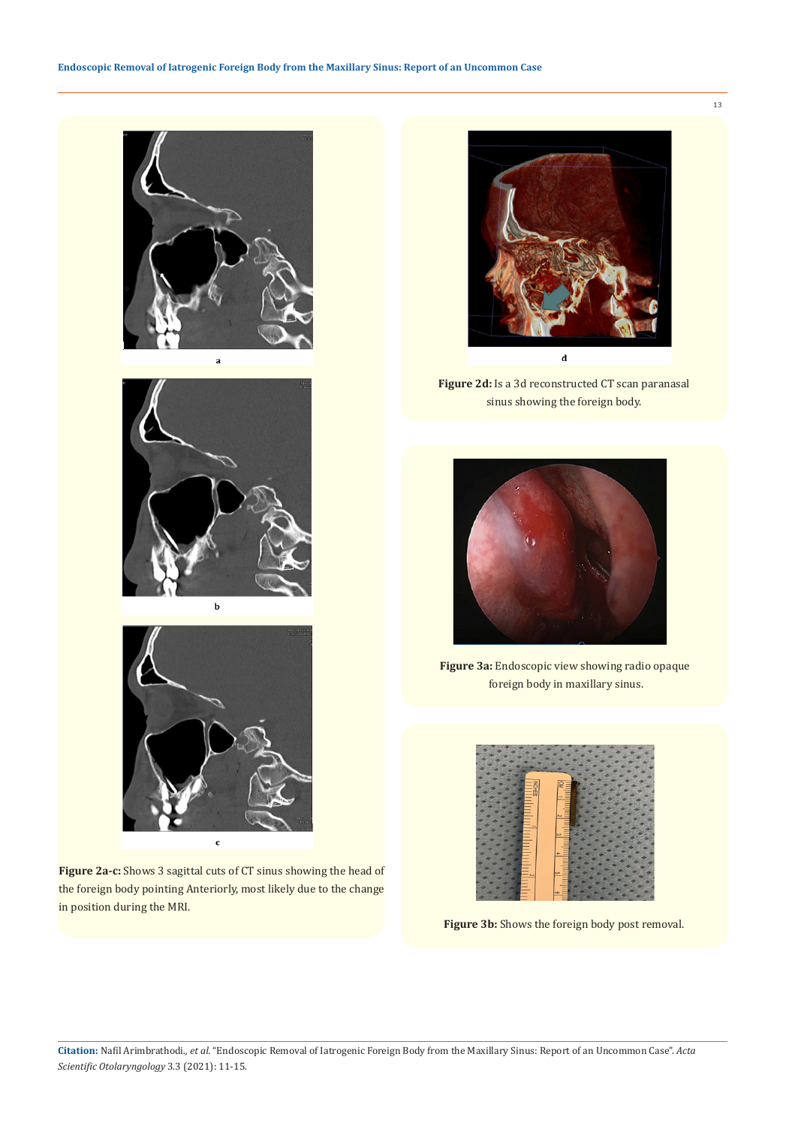





**Figure 2a-c:** Shows 3 sagittal cuts of CT sinus showing the head of the foreign body pointing Anteriorly, most likely due to the change in position during the MRI.



**Figure 2d:** Is a 3d reconstructed CT scan paranasal sinus showing the foreign body.



**Figure 3a:** Endoscopic view showing radio opaque foreign body in maxillary sinus.



**Figure 3b:** Shows the foreign body post removal.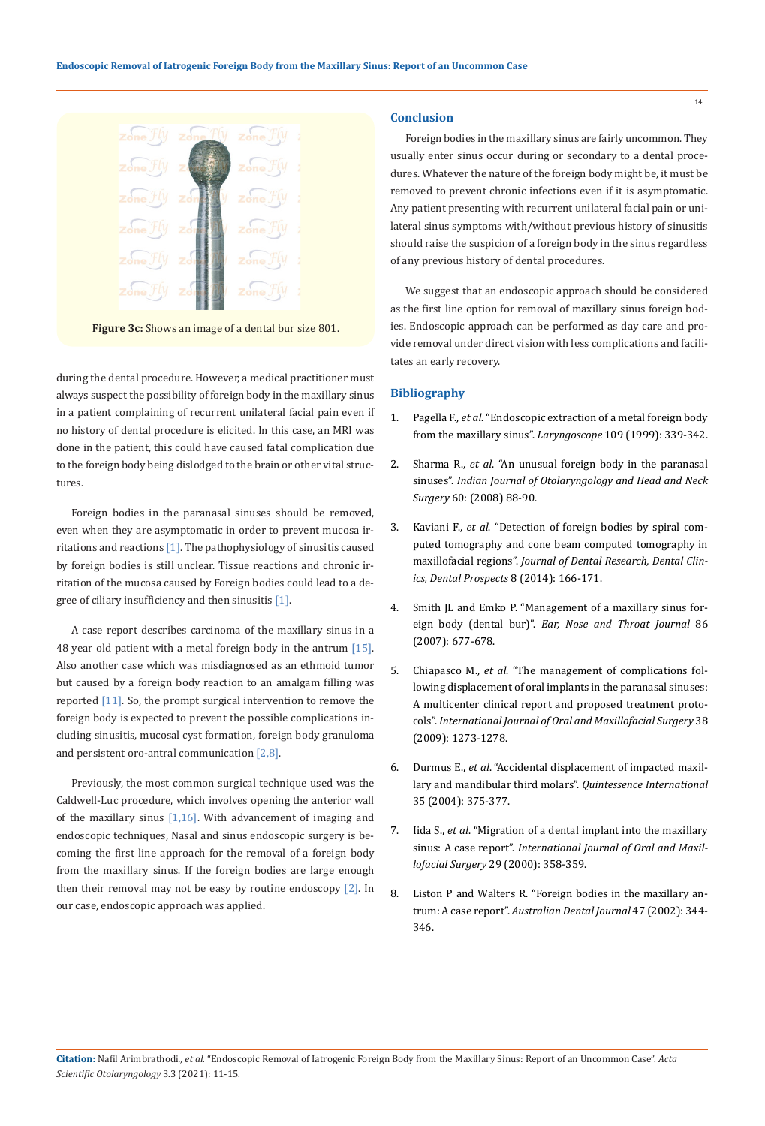

**Figure 3c:** Shows an image of a dental bur size 801.

during the dental procedure. However, a medical practitioner must always suspect the possibility of foreign body in the maxillary sinus in a patient complaining of recurrent unilateral facial pain even if no history of dental procedure is elicited. In this case, an MRI was done in the patient, this could have caused fatal complication due to the foreign body being dislodged to the brain or other vital structures.

Foreign bodies in the paranasal sinuses should be removed, even when they are asymptomatic in order to prevent mucosa irritations and reactions [1]. The pathophysiology of sinusitis caused by foreign bodies is still unclear. Tissue reactions and chronic irritation of the mucosa caused by Foreign bodies could lead to a degree of ciliary insufficiency and then sinusitis [1].

A case report describes carcinoma of the maxillary sinus in a 48 year old patient with a metal foreign body in the antrum [15]. Also another case which was misdiagnosed as an ethmoid tumor but caused by a foreign body reaction to an amalgam filling was reported [11]. So, the prompt surgical intervention to remove the foreign body is expected to prevent the possible complications including sinusitis, mucosal cyst formation, foreign body granuloma and persistent oro-antral communication [2,8].

Previously, the most common surgical technique used was the Caldwell-Luc procedure, which involves opening the anterior wall of the maxillary sinus  $[1,16]$ . With advancement of imaging and endoscopic techniques, Nasal and sinus endoscopic surgery is becoming the first line approach for the removal of a foreign body from the maxillary sinus. If the foreign bodies are large enough then their removal may not be easy by routine endoscopy  $[2]$ . In our case, endoscopic approach was applied.

#### **Conclusion**

Foreign bodies in the maxillary sinus are fairly uncommon. They usually enter sinus occur during or secondary to a dental procedures. Whatever the nature of the foreign body might be, it must be removed to prevent chronic infections even if it is asymptomatic. Any patient presenting with recurrent unilateral facial pain or unilateral sinus symptoms with/without previous history of sinusitis should raise the suspicion of a foreign body in the sinus regardless of any previous history of dental procedures.

We suggest that an endoscopic approach should be considered as the first line option for removal of maxillary sinus foreign bodies. Endoscopic approach can be performed as day care and provide removal under direct vision with less complications and facilitates an early recovery.

### **Bibliography**

- 1. Pagella F., *et al*[. "Endoscopic extraction of a metal foreign body](https://pubmed.ncbi.nlm.nih.gov/10890790/) [from the maxillary sinus".](https://pubmed.ncbi.nlm.nih.gov/10890790/) *Laryngoscope* 109 (1999): 339-342.
- 2. Sharma R., *et al*[. "An unusual foreign body in the paranasal](https://www.njcponline.com/article.asp?issn=1119-3077;year=2016;volume=19;issue=2;spage=298;epage=300;aulast=Deniz)  sinuses". *[Indian Journal of Otolaryngology and Head and Neck](https://www.njcponline.com/article.asp?issn=1119-3077;year=2016;volume=19;issue=2;spage=298;epage=300;aulast=Deniz)  Surgery* [60: \(2008\) 88-90.](https://www.njcponline.com/article.asp?issn=1119-3077;year=2016;volume=19;issue=2;spage=298;epage=300;aulast=Deniz)
- 3. Kaviani F., *et al*[. "Detection of foreign bodies by spiral com](https://pubmed.ncbi.nlm.nih.gov/25346836/)[puted tomography and cone beam computed tomography in](https://pubmed.ncbi.nlm.nih.gov/25346836/) maxillofacial regions". *[Journal of Dental Research, Dental Clin](https://pubmed.ncbi.nlm.nih.gov/25346836/)[ics, Dental Prospects](https://pubmed.ncbi.nlm.nih.gov/25346836/)* 8 (2014): 166-171.
- 4. [Smith JL and Emko P. "Management of a maxillary sinus for](https://pubmed.ncbi.nlm.nih.gov/18225628/)eign body (dental bur)". *[Ear, Nose and Throat Journal](https://pubmed.ncbi.nlm.nih.gov/18225628/)* 86 [\(2007\): 677-678.](https://pubmed.ncbi.nlm.nih.gov/18225628/)
- 5. Chiapasco M., *et al*[. "The management of complications fol](https://pubmed.ncbi.nlm.nih.gov/19781911/)[lowing displacement of oral implants in the paranasal sinuses:](https://pubmed.ncbi.nlm.nih.gov/19781911/) [A multicenter clinical report and proposed treatment proto](https://pubmed.ncbi.nlm.nih.gov/19781911/)cols". *[International Journal of Oral and Maxillofacial Surgery](https://pubmed.ncbi.nlm.nih.gov/19781911/)* 38 [\(2009\): 1273-1278.](https://pubmed.ncbi.nlm.nih.gov/19781911/)
- 6. Durmus E., *et al*[. "Accidental displacement of impacted maxil](http://www.quintpub.com/userhome/qi/qi_35_5_durmus_9.pdf)[lary and mandibular third molars".](http://www.quintpub.com/userhome/qi/qi_35_5_durmus_9.pdf) *Quintessence International* [35 \(2004\): 375-377.](http://www.quintpub.com/userhome/qi/qi_35_5_durmus_9.pdf)
- 7. Iida S., *et al*[. "Migration of a dental implant into the maxillary](https://www.sciencedirect.com/science/article/abs/pii/S0901502700800521)  sinus: A case report". *[International Journal of Oral and Maxil](https://www.sciencedirect.com/science/article/abs/pii/S0901502700800521)lofacial Surgery* [29 \(2000\): 358-359.](https://www.sciencedirect.com/science/article/abs/pii/S0901502700800521)
- 8. [Liston P and Walters R. "Foreign bodies in the maxillary an](https://pubmed.ncbi.nlm.nih.gov/12587772/)trum: A case report". *[Australian Dental Journal](https://pubmed.ncbi.nlm.nih.gov/12587772/)* 47 (2002): 344- [346.](https://pubmed.ncbi.nlm.nih.gov/12587772/)

14